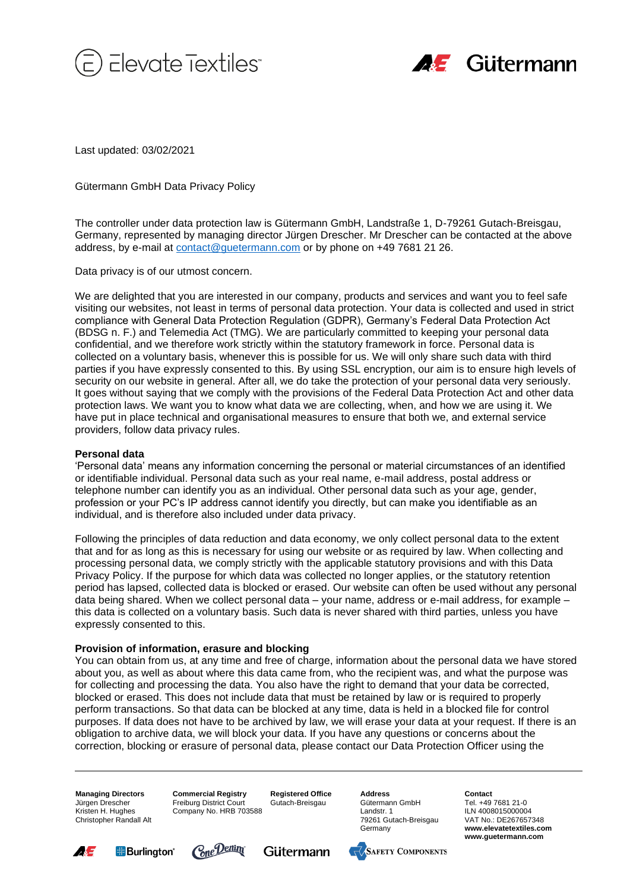



Last updated: 03/02/2021

Gütermann GmbH Data Privacy Policy

The controller under data protection law is Gütermann GmbH, Landstraße 1, D-79261 Gutach-Breisgau, Germany, represented by managing director Jürgen Drescher. Mr Drescher can be contacted at the above address, by e-mail at [contact@guetermann.com](file://///GMGUFS03/Bildarchiv_MII/E-Commerce/Online-Kommunikation/Languagewire/Übersetzungen/EN/contact@guetermann.com) or by phone on +49 7681 21 26.

Data privacy is of our utmost concern.

We are delighted that you are interested in our company, products and services and want you to feel safe visiting our websites, not least in terms of personal data protection. Your data is collected and used in strict compliance with General Data Protection Regulation (GDPR), Germany's Federal Data Protection Act (BDSG n. F.) and Telemedia Act (TMG). We are particularly committed to keeping your personal data confidential, and we therefore work strictly within the statutory framework in force. Personal data is collected on a voluntary basis, whenever this is possible for us. We will only share such data with third parties if you have expressly consented to this. By using SSL encryption, our aim is to ensure high levels of security on our website in general. After all, we do take the protection of your personal data very seriously. It goes without saying that we comply with the provisions of the Federal Data Protection Act and other data protection laws. We want you to know what data we are collecting, when, and how we are using it. We have put in place technical and organisational measures to ensure that both we, and external service providers, follow data privacy rules.

# **Personal data**

'Personal data' means any information concerning the personal or material circumstances of an identified or identifiable individual. Personal data such as your real name, e-mail address, postal address or telephone number can identify you as an individual. Other personal data such as your age, gender, profession or your PC's IP address cannot identify you directly, but can make you identifiable as an individual, and is therefore also included under data privacy.

Following the principles of data reduction and data economy, we only collect personal data to the extent that and for as long as this is necessary for using our website or as required by law. When collecting and processing personal data, we comply strictly with the applicable statutory provisions and with this Data Privacy Policy. If the purpose for which data was collected no longer applies, or the statutory retention period has lapsed, collected data is blocked or erased. Our website can often be used without any personal data being shared. When we collect personal data – your name, address or e-mail address, for example – this data is collected on a voluntary basis. Such data is never shared with third parties, unless you have expressly consented to this.

### **Provision of information, erasure and blocking**

You can obtain from us, at any time and free of charge, information about the personal data we have stored about you, as well as about where this data came from, who the recipient was, and what the purpose was for collecting and processing the data. You also have the right to demand that your data be corrected, blocked or erased. This does not include data that must be retained by law or is required to properly perform transactions. So that data can be blocked at any time, data is held in a blocked file for control purposes. If data does not have to be archived by law, we will erase your data at your request. If there is an obligation to archive data, we will block your data. If you have any questions or concerns about the correction, blocking or erasure of personal data, please contact our Data Protection Officer using the

**Managing Directors** Jürgen Drescher Kristen H. Hughes Christopher Randall Alt **Commercial Registry** Freiburg District Court Company No. HRB 703588

**Registered Office** Gutach-Breisgau

**Address** Gütermann GmbH Landstr. 1 79261 Gutach-Breisgau Germany







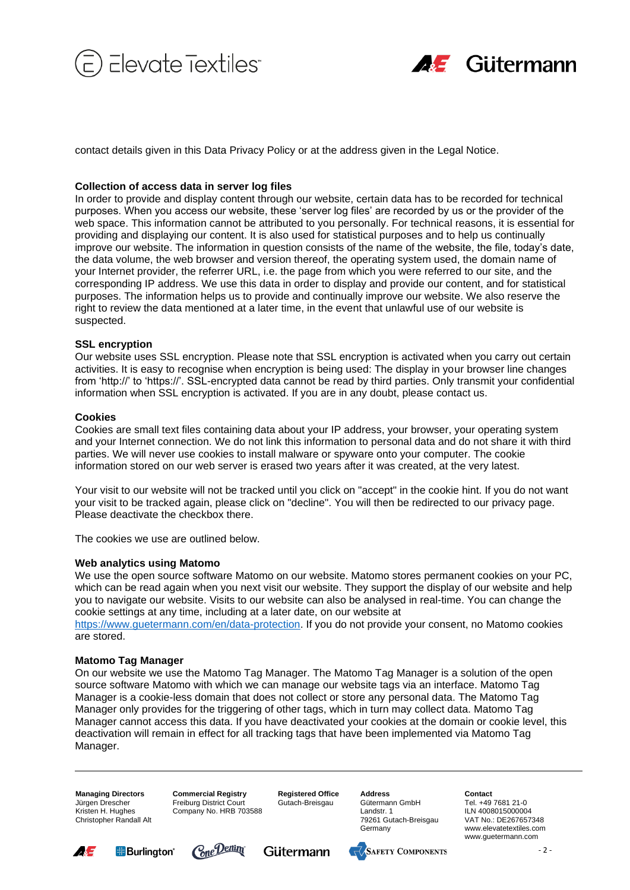



contact details given in this Data Privacy Policy or at the address given in the Legal Notice.

# **Collection of access data in server log files**

In order to provide and display content through our website, certain data has to be recorded for technical purposes. When you access our website, these 'server log files' are recorded by us or the provider of the web space. This information cannot be attributed to you personally. For technical reasons, it is essential for providing and displaying our content. It is also used for statistical purposes and to help us continually improve our website. The information in question consists of the name of the website, the file, today's date, the data volume, the web browser and version thereof, the operating system used, the domain name of your Internet provider, the referrer URL, i.e. the page from which you were referred to our site, and the corresponding IP address. We use this data in order to display and provide our content, and for statistical purposes. The information helps us to provide and continually improve our website. We also reserve the right to review the data mentioned at a later time, in the event that unlawful use of our website is suspected.

### **SSL encryption**

Our website uses SSL encryption. Please note that SSL encryption is activated when you carry out certain activities. It is easy to recognise when encryption is being used: The display in your browser line changes from 'http://' to 'https://'. SSL-encrypted data cannot be read by third parties. Only transmit your confidential information when SSL encryption is activated. If you are in any doubt, please contact us.

### **Cookies**

Cookies are small text files containing data about your IP address, your browser, your operating system and your Internet connection. We do not link this information to personal data and do not share it with third parties. We will never use cookies to install malware or spyware onto your computer. The cookie information stored on our web server is erased two years after it was created, at the very latest.

Your visit to our website will not be tracked until you click on "accept" in the cookie hint. If you do not want your visit to be tracked again, please click on "decline". You will then be redirected to our privacy page. Please deactivate the checkbox there.

The cookies we use are outlined below.

### **Web analytics using Matomo**

We use the open source software Matomo on our website. Matomo stores permanent cookies on your PC, which can be read again when you next visit our website. They support the display of our website and help you to navigate our website. Visits to our website can also be analysed in real-time. You can change the cookie settings at any time, including at a later date, on our website at https://www.guetermann.com/en/data-protection. If you do not provide your consent, no Matomo cookies are stored.

### **Matomo Tag Manager**

On our website we use the Matomo Tag Manager. The Matomo Tag Manager is a solution of the open source software Matomo with which we can manage our website tags via an interface. Matomo Tag Manager is a cookie-less domain that does not collect or store any personal data. The Matomo Tag Manager only provides for the triggering of other tags, which in turn may collect data. Matomo Tag Manager cannot access this data. If you have deactivated your cookies at the domain or cookie level, this deactivation will remain in effect for all tracking tags that have been implemented via Matomo Tag Manager.

**Managing Directors** Jürgen Drescher Kristen H. Hughes Christopher Randall Alt **Commercial Registry** Freiburg District Court Company No. HRB 703588 **Registered Office** Gutach-Breisgau

**Address** Gütermann GmbH Landstr. 1 79261 Gutach-Breisgau Germany







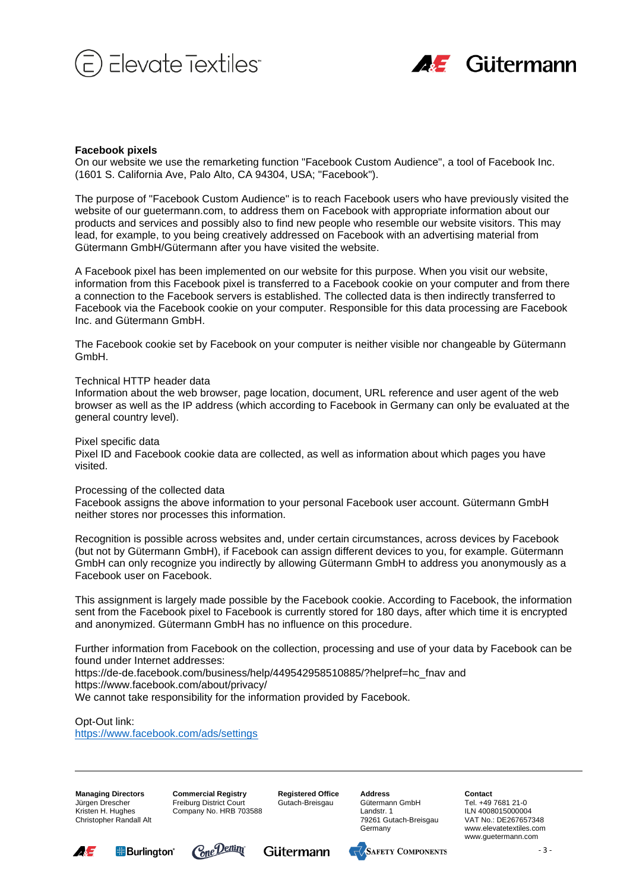



### **Facebook pixels**

On our website we use the remarketing function "Facebook Custom Audience", a tool of Facebook Inc. (1601 S. California Ave, Palo Alto, CA 94304, USA; "Facebook").

The purpose of "Facebook Custom Audience" is to reach Facebook users who have previously visited the website of our guetermann.com, to address them on Facebook with appropriate information about our products and services and possibly also to find new people who resemble our website visitors. This may lead, for example, to you being creatively addressed on Facebook with an advertising material from Gütermann GmbH/Gütermann after you have visited the website.

A Facebook pixel has been implemented on our website for this purpose. When you visit our website, information from this Facebook pixel is transferred to a Facebook cookie on your computer and from there a connection to the Facebook servers is established. The collected data is then indirectly transferred to Facebook via the Facebook cookie on your computer. Responsible for this data processing are Facebook Inc. and Gütermann GmbH.

The Facebook cookie set by Facebook on your computer is neither visible nor changeable by Gütermann GmbH.

### Technical HTTP header data

Information about the web browser, page location, document, URL reference and user agent of the web browser as well as the IP address (which according to Facebook in Germany can only be evaluated at the general country level).

Pixel specific data

Pixel ID and Facebook cookie data are collected, as well as information about which pages you have visited.

### Processing of the collected data

Facebook assigns the above information to your personal Facebook user account. Gütermann GmbH neither stores nor processes this information.

Recognition is possible across websites and, under certain circumstances, across devices by Facebook (but not by Gütermann GmbH), if Facebook can assign different devices to you, for example. Gütermann GmbH can only recognize you indirectly by allowing Gütermann GmbH to address you anonymously as a Facebook user on Facebook.

This assignment is largely made possible by the Facebook cookie. According to Facebook, the information sent from the Facebook pixel to Facebook is currently stored for 180 days, after which time it is encrypted and anonymized. Gütermann GmbH has no influence on this procedure.

Further information from Facebook on the collection, processing and use of your data by Facebook can be found under Internet addresses:

https://de-de.facebook.com/business/help/449542958510885/?helpref=hc\_fnav and https://www.facebook.com/about/privacy/

We cannot take responsibility for the information provided by Facebook.

# Opt-Out link:

<https://www.facebook.com/ads/settings>

**Managing Directors** Jürgen Drescher Kristen H. Hughes Christopher Randall Alt **Commercial Registry** Freiburg District Court Company No. HRB 703588 **Registered Office** Gutach-Breisgau

**Address** Gütermann GmbH Landstr. 1 79261 Gutach-Breisgau Germany







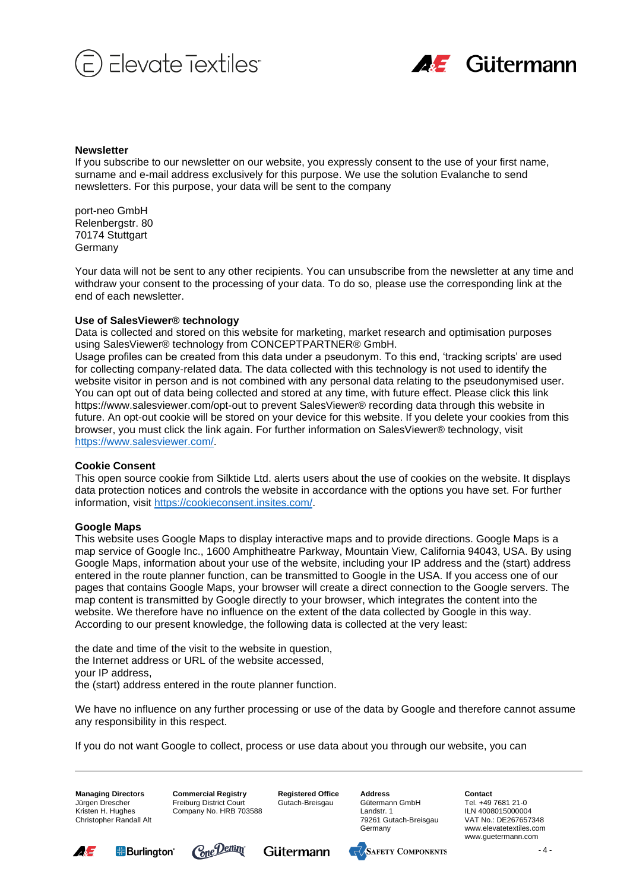



### **Newsletter**

If you subscribe to our newsletter on our website, you expressly consent to the use of your first name, surname and e-mail address exclusively for this purpose. We use the solution Evalanche to send newsletters. For this purpose, your data will be sent to the company

port-neo GmbH Relenbergstr. 80 70174 Stuttgart **Germany** 

Your data will not be sent to any other recipients. You can unsubscribe from the newsletter at any time and withdraw your consent to the processing of your data. To do so, please use the corresponding link at the end of each newsletter.

### **Use of SalesViewer® technology**

Data is collected and stored on this website for marketing, market research and optimisation purposes using SalesViewer® technology from CONCEPTPARTNER® GmbH.

Usage profiles can be created from this data under a pseudonym. To this end, 'tracking scripts' are used for collecting company-related data. The data collected with this technology is not used to identify the website visitor in person and is not combined with any personal data relating to the pseudonymised user. You can opt out of data being collected and stored at any time, with future effect. Please click this link https://www.salesviewer.com/opt-out to prevent SalesViewer® recording data through this website in future. An opt-out cookie will be stored on your device for this website. If you delete your cookies from this browser, you must click the link again. For further information on SalesViewer® technology, visit [https://www.salesviewer.com/.](https://www.salesviewer.com/)

# **Cookie Consent**

This open source cookie from Silktide Ltd. alerts users about the use of cookies on the website. It displays data protection notices and controls the website in accordance with the options you have set. For further information, visit [https://cookieconsent.insites.com/.](https://cookieconsent.insites.com/)

# **Google Maps**

This website uses Google Maps to display interactive maps and to provide directions. Google Maps is a map service of Google Inc., 1600 Amphitheatre Parkway, Mountain View, California 94043, USA. By using Google Maps, information about your use of the website, including your IP address and the (start) address entered in the route planner function, can be transmitted to Google in the USA. If you access one of our pages that contains Google Maps, your browser will create a direct connection to the Google servers. The map content is transmitted by Google directly to your browser, which integrates the content into the website. We therefore have no influence on the extent of the data collected by Google in this way. According to our present knowledge, the following data is collected at the very least:

the date and time of the visit to the website in question, the Internet address or URL of the website accessed, your IP address, the (start) address entered in the route planner function.

We have no influence on any further processing or use of the data by Google and therefore cannot assume any responsibility in this respect.

If you do not want Google to collect, process or use data about you through our website, you can

**Managing Directors** Jürgen Drescher Kristen H. Hughes Christopher Randall Alt **Commercial Registry** Freiburg District Court Company No. HRB 703588 **Registered Office** Gutach-Breisgau

**Address** Gütermann GmbH Landstr. 1 79261 Gutach-Breisgau Germany









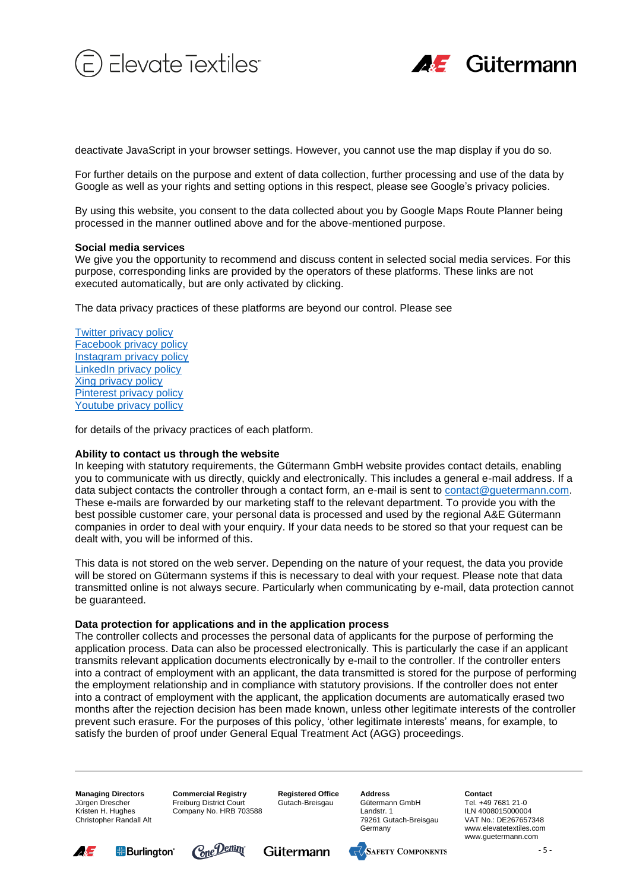



deactivate JavaScript in your browser settings. However, you cannot use the map display if you do so.

For further details on the purpose and extent of data collection, further processing and use of the data by Google as well as your rights and setting options in this respect, please see Google's privacy policies.

By using this website, you consent to the data collected about you by Google Maps Route Planner being processed in the manner outlined above and for the above-mentioned purpose.

### **Social media services**

We give you the opportunity to recommend and discuss content in selected social media services. For this purpose, corresponding links are provided by the operators of these platforms. These links are not executed automatically, but are only activated by clicking.

The data privacy practices of these platforms are beyond our control. Please see

[Twitter privacy policy](http://twitter.com/privacy) [Facebook privacy policy](https://www.facebook.com/privacy/explanation) [Instagram privacy policy](https://www.facebook.com/privacy/explanation) [LinkedIn privacy policy](https://www.linkedin.com/legal/privacy-policy) [Xing privacy policy](https://www.xing.com/privacy) [Pinterest privacy policy](https://policy.pinterest.com/en/privacy-policy) [Youtube privacy pollicy](https://policies.google.com/privacy?hl=en)

for details of the privacy practices of each platform.

### **Ability to contact us through the website**

In keeping with statutory requirements, the Gütermann GmbH website provides contact details, enabling you to communicate with us directly, quickly and electronically. This includes a general e-mail address. If a data subject contacts the controller through a contact form, an e-mail is sent to [contact@guetermann.com.](mailto:contact@guetermann.com) These e-mails are forwarded by our marketing staff to the relevant department. To provide you with the best possible customer care, your personal data is processed and used by the regional A&E Gütermann companies in order to deal with your enquiry. If your data needs to be stored so that your request can be dealt with, you will be informed of this.

This data is not stored on the web server. Depending on the nature of your request, the data you provide will be stored on Gütermann systems if this is necessary to deal with your request. Please note that data transmitted online is not always secure. Particularly when communicating by e-mail, data protection cannot be guaranteed.

### **Data protection for applications and in the application process**

The controller collects and processes the personal data of applicants for the purpose of performing the application process. Data can also be processed electronically. This is particularly the case if an applicant transmits relevant application documents electronically by e-mail to the controller. If the controller enters into a contract of employment with an applicant, the data transmitted is stored for the purpose of performing the employment relationship and in compliance with statutory provisions. If the controller does not enter into a contract of employment with the applicant, the application documents are automatically erased two months after the rejection decision has been made known, unless other legitimate interests of the controller prevent such erasure. For the purposes of this policy, 'other legitimate interests' means, for example, to satisfy the burden of proof under General Equal Treatment Act (AGG) proceedings.

**Managing Directors** Jürgen Drescher Kristen H. Hughes Christopher Randall Alt **Commercial Registry** Freiburg District Court Company No. HRB 703588 **Registered Office** Gutach-Breisgau

**Address** Gütermann GmbH Landstr. 1 79261 Gutach-Breisgau Germany